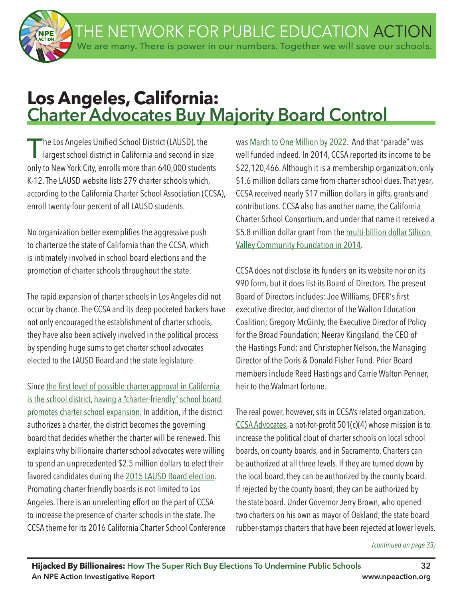THE NETWORK FOR PUBLIC EDUCATION ACTION We are many. There is power in our numbers. Together we will save our schools.



# **Los Angeles, California: Charter Advocates Buy Majority Board Control**

The Los Angeles Unified School District (LAUSD), the<br>largest school district in California and second in size only to New York City, enrolls more than 640,000 students K-12. The LAUSD website lists 279 charter schools which, according to the California Charter School Association (CCSA), enroll twenty-four percent of all LAUSD students.

No organization better exemplifes the aggressive push to charterize the state of California than the CCSA, which is intimately involved in school board elections and the promotion of charter schools throughout the state.

The rapid expansion of charter schools in Los Angeles did not occur by chance. The CCSA and its deep-pocketed backers have not only encouraged the establishment of charter schools, they have also been actively involved in the political process by spending huge sums to get charter school advocates elected to the LAUSD Board and the state legislature.

Since the first level of possible charter approval in California is the school district, having a "charter-friendly" school board promotes charter school expansion. In addition, if the district authorizes a charter, the district becomes the governing board that decides whether the charter will be renewed. This explains why billionaire charter school advocates were willing to spend an unprecedented \$2.5 million dollars to elect their favored candidates during the 2015 LAUSD Board election. Promoting charter friendly boards is not limited to Los Angeles. There is an unrelenting effort on the part of CCSA to increase the presence of charter schools in the state. The CCSA theme for its 2016 California Charter School Conference

was March to One Million by 2022. And that "parade" was well funded indeed. In 2014, CCSA reported its income to be \$22,120,466. Although it is a membership organization, only \$1.6 million dollars came from charter school dues. That year, CCSA received nearly \$17 million dollars in gifts, grants and contributions. CCSA also has another name, the California Charter School Consortium, and under that name it received a \$5.8 million dollar grant from the multi-billion dollar Silicon Valley Community Foundation in 2014.

CCSA does not disclose its funders on its website nor on its 990 form, but it does list its Board of Directors. The present Board of Directors includes: Joe Williams, DFER's frst executive director, and director of the Walton Education Coalition; Gregory McGinty, the Executive Director of Policy for the Broad Foundation; Neerav Kingsland, the CEO of the Hastings Fund; and Christopher Nelson, the Managing Director of the Doris & Donald Fisher Fund. Prior Board members include Reed Hastings and Carrie Walton Penner, heir to the Walmart fortune.

The real power, however, sits in CCSA's related organization, CCSA Advocates, a not-for-proft 501(c)(4) whose mission is to increase the political clout of charter schools on local school boards, on county boards, and in Sacramento. Charters can be authorized at all three levels. If they are turned down by the local board, they can be authorized by the county board. If rejected by the county board, they can be authorized by the state board. Under Governor Jerry Brown, who opened two charters on his own as mayor of Oakland, the state board rubber-stamps charters that have been rejected at lower levels.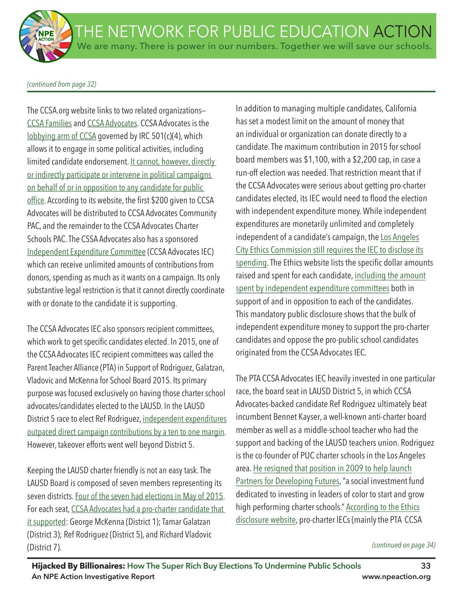*(continued from page 32)*

The CCSA.org website links to two related organizations— CCSA Families and CCSA Advocates. CCSA Advocates is the lobbying arm of CCSA governed by IRC 501(c)(4), which allows it to engage in some political activities, including limited candidate endorsement. It cannot, however, directly or indirectly participate or intervene in political campaigns on behalf of or in opposition to any candidate for public office. According to its website, the first \$200 given to CCSA Advocates will be distributed to CCSA Advocates Community PAC, and the remainder to the CCSA Advocates Charter Schools PAC. The CSSA Advocates also has a sponsored Independent Expenditure Committee (CCSA Advocates IEC) which can receive unlimited amounts of contributions from donors, spending as much as it wants on a campaign. Its only substantive legal restriction is that it cannot directly coordinate with or donate to the candidate it is supporting.

The CCSA Advocates IEC also sponsors recipient committees, which work to get specific candidates elected. In 2015, one of the CCSA Advocates IEC recipient committees was called the Parent Teacher Alliance (PTA) in Support of Rodriguez, Galatzan, Vladovic and McKenna for School Board 2015. Its primary purpose was focused exclusively on having those charter school advocates/candidates elected to the LAUSD. In the LAUSD District 5 race to elect Ref Rodriguez, independent expenditures outpaced direct campaign contributions by a ten to one margin. However, takeover efforts went well beyond District 5.

Keeping the LAUSD charter friendly is not an easy task. The LAUSD Board is composed of seven members representing its seven districts. Four of the seven had elections in May of 2015. For each seat, CCSA Advocates had a pro-charter candidate that it supported: George McKenna (District 1); Tamar Galatzan (District 3); Ref Rodriguez (District 5), and Richard Vladovic (District 7).

In addition to managing multiple candidates, California has set a modest limit on the amount of money that an individual or organization can donate directly to a candidate. The maximum contribution in 2015 for school board members was \$1,100, with a \$2,200 cap, in case a run-off election was needed. That restriction meant that if the CCSA Advocates were serious about getting pro-charter candidates elected, its IEC would need to flood the election with independent expenditure money. While independent expenditures are monetarily unlimited and completely independent of a candidate's campaign, the Los Angeles City Ethics Commission still requires the IEC to disclose its spending. The Ethics website lists the specific dollar amounts raised and spent for each candidate, including the amount spent by independent expenditure committees both in support of and in opposition to each of the candidates. This mandatory public disclosure shows that the bulk of independent expenditure money to support the pro-charter candidates and oppose the pro-public school candidates originated from the CCSA Advocates IEC.

The PTA CCSA Advocates IEC heavily invested in one particular race, the board seat in LAUSD District 5, in which CCSA Advocates-backed candidate Ref Rodriguez ultimately beat incumbent Bennet Kayser, a well-known anti-charter board member as well as a middle-school teacher who had the support and backing of the LAUSD teachers union. Rodriguez is the co-founder of PUC charter schools in the Los Angeles area. He resigned that position in 2009 to help launch Partners for Developing Futures, "a social investment fund dedicated to investing in leaders of color to start and grow high performing charter schools." According to the Ethics disclosure website, pro-charter IECs (mainly the PTA CCSA

*<sup>(</sup>continued on page 34)*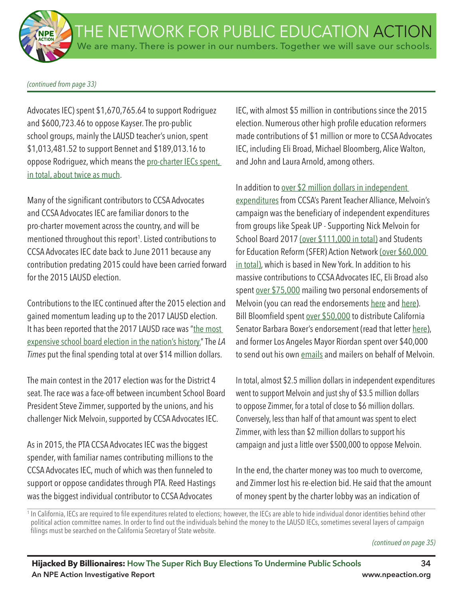*(continued from page 33)*

Advocates IEC) spent \$1,670,765.64 to support Rodriguez and \$600,723.46 to oppose Kayser. The pro-public school groups, mainly the LAUSD teacher's union, spent \$1,013,481.52 to support Bennet and \$189,013.16 to oppose Rodriguez, which means the pro-charter IECs spent, in total, about twice as much.

Many of the significant contributors to CCSA Advocates and CCSA Advocates IEC are familiar donors to the pro-charter movement across the country, and will be mentioned throughout this report<sup>1</sup>. Listed contributions to CCSA Advocates IEC date back to June 2011 because any contribution predating 2015 could have been carried forward for the 2015 LAUSD election.

Contributions to the IEC continued after the 2015 election and gained momentum leading up to the 2017 LAUSD election. It has been reported that the 2017 LAUSD race was "the most expensive school board election in the nation's history." The *LA Times* put the fnal spending total at over \$14 million dollars.

The main contest in the 2017 election was for the District 4 seat. The race was a face-off between incumbent School Board President Steve Zimmer, supported by the unions, and his challenger Nick Melvoin, supported by CCSA Advocates IEC.

As in 2015, the PTA CCSA Advocates IEC was the biggest spender, with familiar names contributing millions to the CCSA Advocates IEC, much of which was then funneled to support or oppose candidates through PTA. Reed Hastings was the biggest individual contributor to CCSA Advocates

IEC, with almost \$5 million in contributions since the 2015 election. Numerous other high profile education reformers made contributions of \$1 million or more to CCSA Advocates IEC, including Eli Broad, Michael Bloomberg, Alice Walton, and John and Laura Arnold, among others.

In addition to over \$2 million dollars in independent expenditures from CCSA's Parent Teacher Alliance, Melvoin's campaign was the beneficiary of independent expenditures from groups like Speak UP - Supporting Nick Melvoin for School Board 2017 (over \$111,000 in total) and Students for Education Reform (SFER) Action Network (over \$60,000 in total), which is based in New York. In addition to his massive contributions to CCSA Advocates IEC, Eli Broad also spent over \$75,000 mailing two personal endorsements of Melvoin (you can read the endorsements here and here). Bill Bloomfield spent over \$50,000 to distribute California Senator Barbara Boxer's endorsement (read that letter here), and former Los Angeles Mayor Riordan spent over \$40,000 to send out his own emails and mailers on behalf of Melvoin.

In total, almost \$2.5 million dollars in independent expenditures went to support Melvoin and just shy of \$3.5 million dollars to oppose Zimmer, for a total of close to \$6 million dollars. Conversely, less than half of that amount was spent to elect Zimmer, with less than \$2 million dollars to support his campaign and just a little over \$500,000 to oppose Melvoin.

In the end, the charter money was too much to overcome, and Zimmer lost his re-election bid. He said that the amount of money spent by the charter lobby was an indication of

<sup>1</sup> In California, IECs are required to file expenditures related to elections; however, the IECs are able to hide individual donor identities behind other political action committee names. In order to find out the individuals behind the money to the LAUSD IECs, sometimes several layers of campaign filings must be searched on the California Secretary of State website.

*<sup>(</sup>continued on page 35)*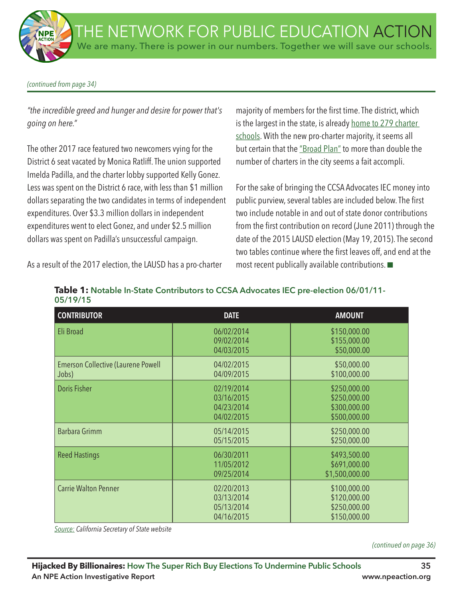#### *(continued from page 34)*

*"the incredible greed and hunger and desire for power that's going on here."*

The other 2017 race featured two newcomers vying for the District 6 seat vacated by Monica Ratliff. The union supported Imelda Padilla, and the charter lobby supported Kelly Gonez. Less was spent on the District 6 race, with less than \$1 million dollars separating the two candidates in terms of independent expenditures. Over \$3.3 million dollars in independent expenditures went to elect Gonez, and under \$2.5 million dollars was spent on Padilla's unsuccessful campaign.

majority of members for the first time. The district, which is the largest in the state, is already home to 279 charter schools. With the new pro-charter majority, it seems all but certain that the "Broad Plan" to more than double the number of charters in the city seems a fait accompli.

For the sake of bringing the CCSA Advocates IEC money into public purview, several tables are included below. The first two include notable in and out of state donor contributions from the frst contribution on record (June 2011) through the date of the 2015 LAUSD election (May 19, 2015). The second two tables continue where the first leaves off, and end at the most recent publically available contributions.  $\square$ 

As a result of the 2017 election, the LAUSD has a pro-charter

| Table 1: Notable In-State Contributors to CCSA Advocates IEC pre-election 06/01/11- |  |
|-------------------------------------------------------------------------------------|--|
| 05/19/15                                                                            |  |

| <b>CONTRIBUTOR</b>                                 | <b>DATE</b>                                          | <b>AMOUNT</b>                                                |
|----------------------------------------------------|------------------------------------------------------|--------------------------------------------------------------|
| Eli Broad                                          | 06/02/2014<br>09/02/2014<br>04/03/2015               | \$150,000.00<br>\$155,000.00<br>\$50,000.00                  |
| <b>Emerson Collective (Laurene Powell</b><br>Jobs) | 04/02/2015<br>04/09/2015                             | \$50,000.00<br>\$100,000.00                                  |
| <b>Doris Fisher</b>                                | 02/19/2014<br>03/16/2015<br>04/23/2014<br>04/02/2015 | \$250,000.00<br>\$250,000.00<br>\$300,000.00<br>\$500,000.00 |
| Barbara Grimm                                      | 05/14/2015<br>05/15/2015                             | \$250,000.00<br>\$250,000.00                                 |
| <b>Reed Hastings</b>                               | 06/30/2011<br>11/05/2012<br>09/25/2014               | \$493,500.00<br>\$691,000.00<br>\$1,500,000.00               |
| <b>Carrie Walton Penner</b>                        | 02/20/2013<br>03/13/2014<br>05/13/2014<br>04/16/2015 | \$100,000.00<br>\$120,000.00<br>\$250,000.00<br>\$150,000.00 |

*Source: California Secretary of State website*

*(continued on page 36)*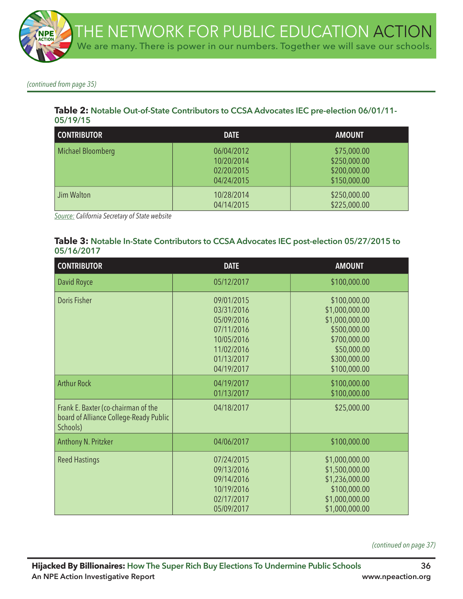

*(continued from page 35)*

#### **Table 2: Notable Out-of-State Contributors to CCSA Advocates IEC pre-election 06/01/11- 05/19/15**

| <b>CONTRIBUTOR</b> | <b>DATE</b>                                          | <b>AMOUNT</b>                                               |
|--------------------|------------------------------------------------------|-------------------------------------------------------------|
| Michael Bloomberg  | 06/04/2012<br>10/20/2014<br>02/20/2015<br>04/24/2015 | \$75,000.00<br>\$250,000.00<br>\$200,000.00<br>\$150,000.00 |
| Jim Walton         | 10/28/2014<br>04/14/2015                             | \$250,000.00<br>\$225,000.00                                |

*Source: California Secretary of State website*

#### **Table 3: Notable In-State Contributors to CCSA Advocates IEC post-election 05/27/2015 to 05/16/2017**

| <b>CONTRIBUTOR</b>                                                                        | <b>DATE</b>                                                                                                  | <b>AMOUNT</b>                                                                                                                   |
|-------------------------------------------------------------------------------------------|--------------------------------------------------------------------------------------------------------------|---------------------------------------------------------------------------------------------------------------------------------|
| David Royce                                                                               | 05/12/2017                                                                                                   | \$100,000.00                                                                                                                    |
| Doris Fisher                                                                              | 09/01/2015<br>03/31/2016<br>05/09/2016<br>07/11/2016<br>10/05/2016<br>11/02/2016<br>01/13/2017<br>04/19/2017 | \$100,000.00<br>\$1,000,000.00<br>\$1,000,000.00<br>\$500,000.00<br>\$700,000.00<br>\$50,000.00<br>\$300,000.00<br>\$100,000.00 |
| <b>Arthur Rock</b>                                                                        | 04/19/2017<br>01/13/2017                                                                                     | \$100,000.00<br>\$100,000.00                                                                                                    |
| Frank E. Baxter (co-chairman of the<br>board of Alliance College-Ready Public<br>Schools) | 04/18/2017                                                                                                   | \$25,000.00                                                                                                                     |
| Anthony N. Pritzker                                                                       | 04/06/2017                                                                                                   | \$100,000.00                                                                                                                    |
| <b>Reed Hastings</b>                                                                      | 07/24/2015<br>09/13/2016<br>09/14/2016<br>10/19/2016<br>02/17/2017<br>05/09/2017                             | \$1,000,000.00<br>\$1,500,000.00<br>\$1,236,000.00<br>\$100,000.00<br>\$1,000,000.00<br>\$1,000,000.00                          |

*(continued on page 37)*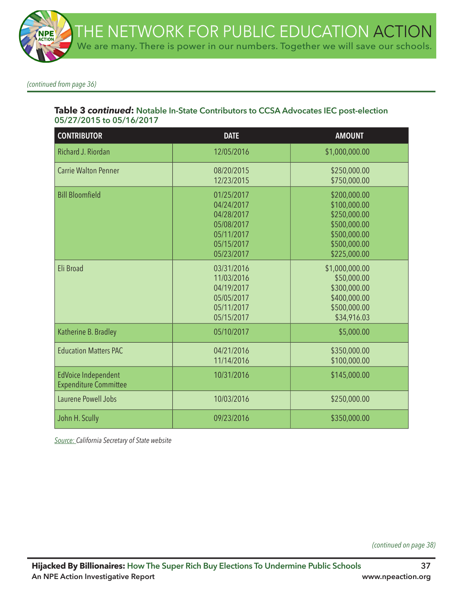*(continued from page 36)*

## **Table 3** *continued***: Notable In-State Contributors to CCSA Advocates IEC post-election 05/27/2015 to 05/16/2017**

| <b>CONTRIBUTOR</b>                                         | <b>DATE</b>                                                                                    | <b>AMOUNT</b>                                                                                                |
|------------------------------------------------------------|------------------------------------------------------------------------------------------------|--------------------------------------------------------------------------------------------------------------|
| Richard J. Riordan                                         | 12/05/2016                                                                                     | \$1,000,000.00                                                                                               |
| <b>Carrie Walton Penner</b>                                | 08/20/2015<br>12/23/2015                                                                       | \$250,000.00<br>\$750,000.00                                                                                 |
| <b>Bill Bloomfield</b>                                     | 01/25/2017<br>04/24/2017<br>04/28/2017<br>05/08/2017<br>05/11/2017<br>05/15/2017<br>05/23/2017 | \$200,000.00<br>\$100,000.00<br>\$250,000.00<br>\$500,000.00<br>\$500,000.00<br>\$500,000.00<br>\$225,000.00 |
| Eli Broad                                                  | 03/31/2016<br>11/03/2016<br>04/19/2017<br>05/05/2017<br>05/11/2017<br>05/15/2017               | \$1,000,000.00<br>\$50,000.00<br>\$300,000.00<br>\$400,000.00<br>\$500,000.00<br>\$34,916.03                 |
| Katherine B. Bradley                                       | 05/10/2017                                                                                     | \$5,000.00                                                                                                   |
| <b>Education Matters PAC</b>                               | 04/21/2016<br>11/14/2016                                                                       | \$350,000.00<br>\$100,000.00                                                                                 |
| <b>EdVoice Independent</b><br><b>Expenditure Committee</b> | 10/31/2016                                                                                     | \$145,000.00                                                                                                 |
| Laurene Powell Jobs                                        | 10/03/2016                                                                                     | \$250,000.00                                                                                                 |
| John H. Scully                                             | 09/23/2016                                                                                     | \$350,000.00                                                                                                 |

*Source: California Secretary of State website*

*(continued on page 38)*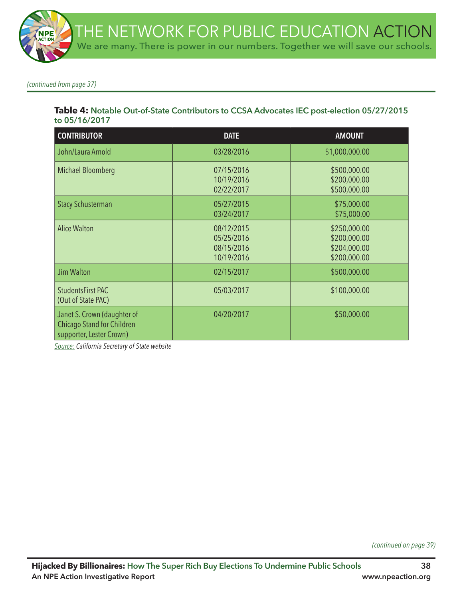*(continued from page 37)*

### **Table 4: Notable Out-of-State Contributors to CCSA Advocates IEC post-election 05/27/2015 to 05/16/2017**

| <b>CONTRIBUTOR</b>                                                                    | <b>DATE</b>                                          | <b>AMOUNT</b>                                                |
|---------------------------------------------------------------------------------------|------------------------------------------------------|--------------------------------------------------------------|
| John/Laura Arnold                                                                     | 03/28/2016                                           | \$1,000,000.00                                               |
| Michael Bloomberg                                                                     | 07/15/2016<br>10/19/2016<br>02/22/2017               | \$500,000.00<br>\$200,000.00<br>\$500,000.00                 |
| <b>Stacy Schusterman</b>                                                              | 05/27/2015<br>03/24/2017                             | \$75,000.00<br>\$75,000.00                                   |
| <b>Alice Walton</b>                                                                   | 08/12/2015<br>05/25/2016<br>08/15/2016<br>10/19/2016 | \$250,000.00<br>\$200,000.00<br>\$204,000.00<br>\$200,000.00 |
| Jim Walton                                                                            | 02/15/2017                                           | \$500,000.00                                                 |
| StudentsFirst PAC<br>(Out of State PAC)                                               | 05/03/2017                                           | \$100,000.00                                                 |
| Janet S. Crown (daughter of<br>Chicago Stand for Children<br>supporter, Lester Crown) | 04/20/2017                                           | \$50,000.00                                                  |

*Source: California Secretary of State website*

*(continued on page 39)*